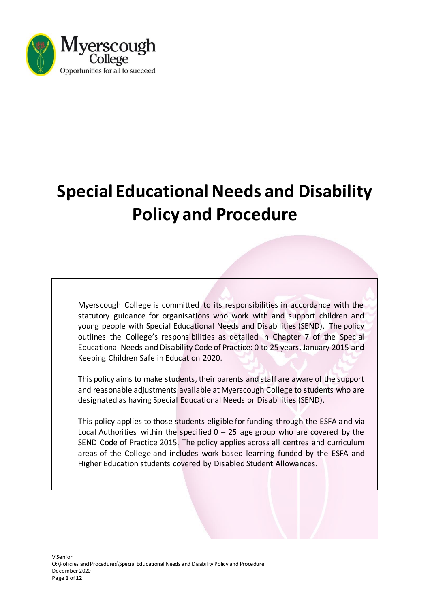

# **Special Educational Needs and Disability Policy and Procedure**

Myerscough College is committed to its responsibilities in accordance with the statutory guidance for organisations who work with and support children and young people with Special Educational Needs and Disabilities (SEND). The policy outlines the College's responsibilities as detailed in Chapter 7 of the Special Educational Needs and Disability Code of Practice: 0 to 25 years, January 2015 and Keeping Children Safe in Education 2020.

This policy aims to make students, their parents and staff are aware of the support and reasonable adjustments available at Myerscough College to students who are designated as having Special Educational Needs or Disabilities (SEND).

This policy applies to those students eligible for funding through the ESFA and via Local Authorities within the specified  $0 - 25$  age group who are covered by the SEND Code of Practice 2015. The policy applies across all centres and curriculum areas of the College and includes work-based learning funded by the ESFA and Higher Education students covered by Disabled Student Allowances.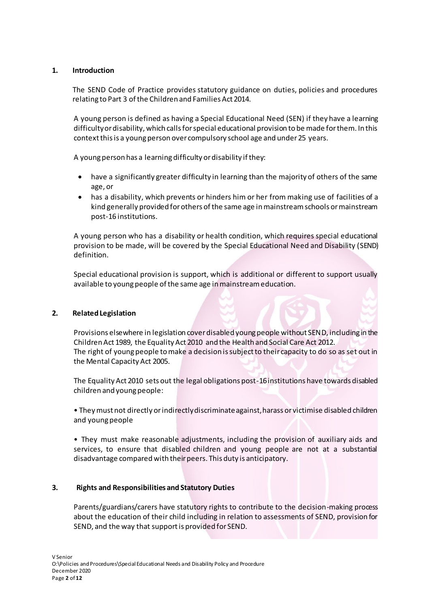# **1. Introduction**

The SEND Code of Practice provides statutory guidance on duties, policies and procedures relating to Part 3 of the Children and Families Act 2014.

A young person is defined as having a Special Educational Need (SEN) if they have a learning difficulty or disability, which calls for special educational provision to be made for them. In this context this is a young person over compulsory school age and under 25 years.

A young person has a learning difficulty or disability if they:

- have a significantly greater difficulty in learning than the majority of others of the same age, or
- has a disability, which prevents or hinders him or her from making use of facilities of a kind generally provided for others of the same age in mainstream schools or mainstream post-16 institutions.

A young person who has a disability or health condition, which requires special educational provision to be made, will be covered by the Special Educational Need and Disability (SEND) definition.

Special educational provision is support, which is additional or different to support usually available to young people of the same age in mainstream education.

# **2. Related Legislation**

Provisions elsewhere in legislation cover disabled young people without SEND, including in the Children Act 1989, the Equality Act 2010 and the Health and Social Care Act 2012. The right of young people to make a decision is subject to their capacity to do so as set out in the Mental Capacity Act 2005.

The Equality Act 2010 sets out the legal obligations post-16 institutions have towards disabled children and young people:

• They must not directly or indirectly discriminate against, harass or victimise disabled children and young people

• They must make reasonable adjustments, including the provision of auxiliary aids and services, to ensure that disabled children and young people are not at a substantial disadvantage compared with their peers. This duty is anticipatory.

# **3. Rights and Responsibilities and Statutory Duties**

Parents/guardians/carers have statutory rights to contribute to the decision-making process about the education of their child including in relation to assessments of SEND, provision for SEND, and the way that support is provided for SEND.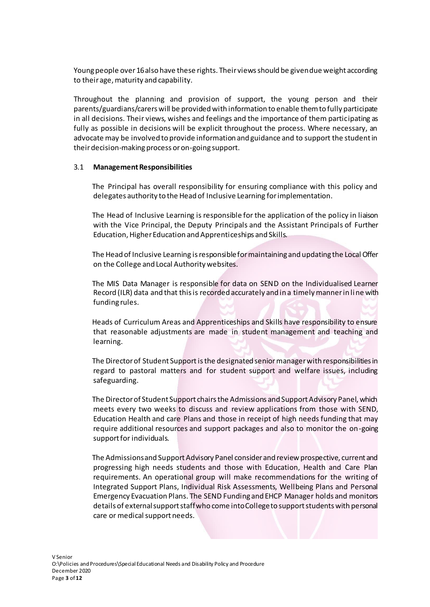Young people over 16 also have these rights. Their views should be given due weight according to their age, maturity and capability.

Throughout the planning and provision of support, the young person and their parents/guardians/carers will be provided with information to enable them to fully participate in all decisions. Their views, wishes and feelings and the importance of them participating as fully as possible in decisions will be explicit throughout the process. Where necessary, an advocate may be involved to provide information and guidance and to support the student in their decision-making process or on-going support.

# 3.1 **Management Responsibilities**

The Principal has overall responsibility for ensuring compliance with this policy and delegates authority to the Head of Inclusive Learning for implementation.

The Head of Inclusive Learning is responsible for the application of the policy in liaison with the Vice Principal, the Deputy Principals and the Assistant Principals of Further Education, Higher Education and Apprenticeships and Skills.

The Head of Inclusive Learning is responsible for maintaining and updating the Local Offer on the College and Local Authority websites.

The MIS Data Manager is responsible for data on SEND on the Individualised Learner Record (ILR) data and that this is recorded accurately and in a timely manner in line with funding rules.

Heads of Curriculum Areas and Apprenticeships and Skills have responsibility to ensure that reasonable adjustments are made in student management and teaching and learning.

The Director of Student Supportis the designated senior manager with responsibilities in regard to pastoral matters and for student support and welfare issues, including safeguarding.

The Director of Student Support chairs the Admissions and Support Advisory Panel, which meets every two weeks to discuss and review applications from those with SEND, Education Health and care Plans and those in receipt of high needs funding that may require additional resources and support packages and also to monitor the on-going support for individuals.

The Admissions and Support Advisory Panel consider and review prospective, current and progressing high needs students and those with Education, Health and Care Plan requirements. An operational group will make recommendations for the writing of Integrated Support Plans, Individual Risk Assessments, Wellbeing Plans and Personal Emergency Evacuation Plans. The SEND Funding and EHCP Manager holds and monitors details of external support staff who come into College to support students with personal care or medical support needs.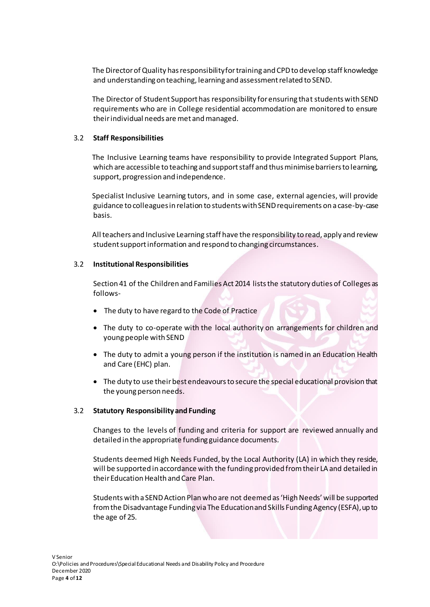The Director of Quality has responsibility for training and CPD to develop staff knowledge and understanding on teaching, learning and assessment related to SEND.

The Director of Student Support has responsibility for ensuring that students with SEND requirements who are in College residential accommodation are monitored to ensure their individual needs are met and managed.

# 3.2 **Staff Responsibilities**

The Inclusive Learning teams have responsibility to provide Integrated Support Plans, which are accessible to teaching and support staff and thus minimise barriers to learning, support, progression and independence.

Specialist Inclusive Learning tutors, and in some case, external agencies, will provide guidance to colleaguesin relation to students withSENDrequirements on a case-by-case basis.

All teachers and Inclusive Learning staff have the responsibility to read, apply and review student support information and respond to changing circumstances.

# 3.2 **Institutional Responsibilities**

Section 41 of the Children and Families Act 2014 lists the statutory duties of Colleges as follows-

- The duty to have regard to the Code of Practice
- The duty to co-operate with the local authority on arrangements for children and young people with SEND
- The duty to admit a young person if the institution is named in an Education Health and Care (EHC) plan.
- The duty to use their best endeavours to secure the special educational provision that the young person needs.

# 3.2 **Statutory Responsibility and Funding**

Changes to the levels of funding and criteria for support are reviewed annually and detailed in the appropriate funding guidance documents.

Students deemed High Needs Funded, by the Local Authority (LA) in which they reside, will be supported in accordance with the funding provided from their LA and detailed in their Education Health and Care Plan.

Students with a SEND Action Plan who are not deemed as 'High Needs' will be supported from the Disadvantage Funding via The Education and Skills Funding Agency (ESFA), up to the age of 25.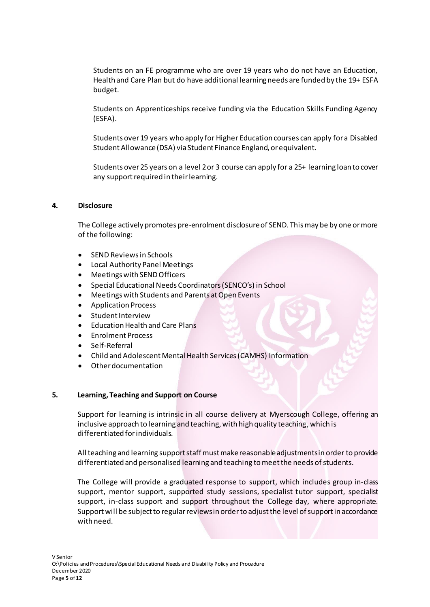Students on an FE programme who are over 19 years who do not have an Education, Health and Care Plan but do have additional learning needs are funded by the 19+ ESFA budget.

Students on Apprenticeships receive funding via the Education Skills Funding Agency (ESFA).

Students over 19 years who apply for Higher Education courses can apply for a Disabled Student Allowance (DSA) via Student Finance England, or equivalent.

Students over 25 years on a level 2 or 3 course can apply for a 25+ learning loan to cover any support required in their learning.

# **4. Disclosure**

The College actively promotes pre-enrolment disclosure of SEND. This may be by one or more of the following:

- SEND Reviews in Schools
- Local Authority Panel Meetings
- Meetings with SEND Officers
- Special Educational Needs Coordinators (SENCO's) in School
- Meetings with Students and Parents at Open Events
- Application Process
- Student Interview
- Education Health and Care Plans
- Enrolment Process
- Self-Referral
- Child and Adolescent Mental Health Services (CAMHS) Information
- Other documentation

# **5. Learning, Teaching and Support on Course**

Support for learning is intrinsic in all course delivery at Myerscough College, offering an inclusive approach to learning and teaching, with high quality teaching, which is differentiated for individuals.

All teaching and learning support staff must make reasonable adjustments in order to provide differentiated and personalised learning and teaching to meet the needs of students.

The College will provide a graduated response to support, which includes group in-class support, mentor support, supported study sessions, specialist tutor support, specialist support, in-class support and support throughout the College day, where appropriate. Support will be subject to regular reviews in orderto adjust the level of support in accordance with need.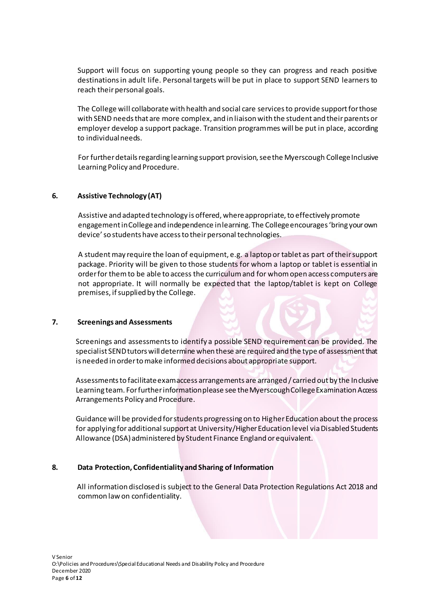Support will focus on supporting young people so they can progress and reach positive destinations in adult life. Personal targets will be put in place to support SEND learners to reach their personal goals.

The College will collaborate with health and social care services to provide support for those with SEND needs that are more complex, and in liaison with the student and their parents or employer develop a support package. Transition programmes will be put in place, according to individual needs.

For further details regarding learning support provision, see the Myerscough College Inclusive Learning Policy and Procedure.

# **6. Assistive Technology (AT)**

Assistive and adapted technology is offered, where appropriate, to effectively promote engagement in College and independence in learning. The College encourages 'bring your own device' so students have access to their personal technologies.

A student may require the loan of equipment, e.g. a laptop or tablet as part of their support package. Priority will be given to those students for whom a laptop or tablet is essential in order for them to be able to access the curriculum and for whom open access computers are not appropriate. It will normally be expected that the laptop/tablet is kept on College premises, if supplied by the College.

# **7. Screenings and Assessments**

Screenings and assessments to identify a possible SEND requirement can be provided. The specialist SEND tutors will determine when these are required and the type of assessment that is needed in order to make informed decisions about appropriate support.

Assessments to facilitate exam access arrangements are arranged / carried out by the Inclusive Learning team. For further information please see the Myerscough College Examination Access Arrangements Policy and Procedure.

Guidance will be provided for students progressing on to Higher Education about the process for applying for additional support at University/Higher Education level via Disabled Students Allowance (DSA)administered by Student Finance England or equivalent.

# **8. Data Protection, Confidentiality and Sharing of Information**

 All information disclosed is subject to the General Data Protection Regulations Act 2018 and common law on confidentiality.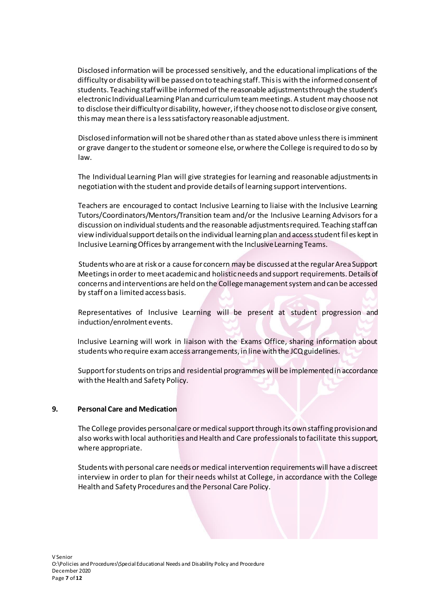Disclosed information will be processed sensitively, and the educational implications of the difficulty or disability will be passed on to teaching staff. This is with the informed consent of students. Teaching staff will be informed of the reasonable adjustments through the student's electronic Individual Learning Plan and curriculum team meetings. A student may choose not to disclose their difficulty or disability, however, if they choose not to disclose or give consent, this may mean there is a less satisfactory reasonable adjustment.

 Disclosed information will not be shared other than as stated above unless there is imminent or grave danger to the student or someone else, or where the College is required to do so by law.

 The Individual Learning Plan will give strategies for learning and reasonable adjustments in negotiation with the student and provide details of learning support interventions.

Teachers are encouraged to contact Inclusive Learning to liaise with the Inclusive Learning Tutors/Coordinators/Mentors/Transition team and/or the Inclusive Learning Advisors for a discussion on individual students and the reasonable adjustments required. Teaching staff can view individual support details on the individual learning plan and access student fil es kept in Inclusive Learning Offices by arrangement with the Inclusive Learning Teams.

Students who are at risk or a cause for concern may be discussed at the regular Area Support Meetings in order to meet academic and holistic needs and support requirements. Details of concerns and interventions are held on the College management system and can be accessed by staff on a limited access basis.

Representatives of Inclusive Learning will be present at student progression and induction/enrolment events.

Inclusive Learning will work in liaison with the Exams Office, sharing information about students who require exam access arrangements, in line with the JCQ guidelines.

Support for students on trips and residential programmes will be implementedin accordance with the Health and Safety Policy.

# **9. Personal Care and Medication**

The College provides personal care or medical support through its own staffing provision and also works with local authorities and Health and Care professionals to facilitate this support, where appropriate.

Students with personal care needs or medical intervention requirements will have a discreet interview in order to plan for their needs whilst at College, in accordance with the College Health and Safety Procedures and the Personal Care Policy.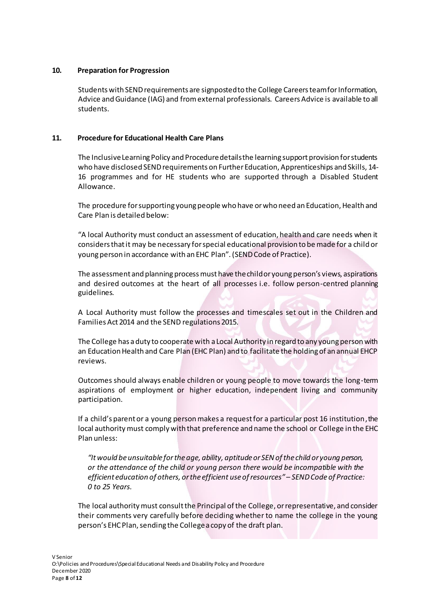# **10. Preparation for Progression**

Students with SEND requirements are signposted to the College Careers team for Information, Advice and Guidance (IAG) and from external professionals. Careers Advice is available to all students.

# **11. Procedure for Educational Health Care Plans**

The Inclusive Learning Policy and Procedure details the learning support provision for students who have disclosed SEND requirements on Further Education, Apprenticeships and Skills, 14- 16 programmes and for HE students who are supported through a Disabled Student Allowance.

The procedure for supporting young people who have or who need an Education, Health and Care Plan is detailed below:

"A local Authority must conduct an assessment of education, health and care needs when it considers that it may be necessary for special educational provision to be made for a child or young person in accordance with an EHC Plan". (SEND Code of Practice).

The assessment and planning process must have the child or young person's views, aspirations and desired outcomes at the heart of all processes i.e. follow person-centred planning guidelines.

A Local Authority must follow the processes and timescales set out in the Children and Families Act 2014 and the SEND regulations 2015.

The College has a duty to cooperate with a Local Authority in regard to any young person with an Education Health and Care Plan (EHC Plan) and to facilitate the holding of an annual EHCP reviews.

Outcomes should always enable children or young people to move towards the long-term aspirations of employment or higher education, independent living and community participation.

If a child's parent or a young person makes a request for a particular post 16 institution, the local authority must comply with that preference and name the school or College in the EHC Plan unless:

*"It would be unsuitable for the age, ability, aptitude or SEN of the child or young person, or the attendance of the child or young person there would be incompatible with the efficient education of others, or the efficient use of resources" – SEND Code of Practice: 0 to 25 Years.*

The local authority must consult the Principal of the College, or representative, and consider their comments very carefully before deciding whether to name the college in the young person's EHC Plan, sending the College a copy of the draft plan.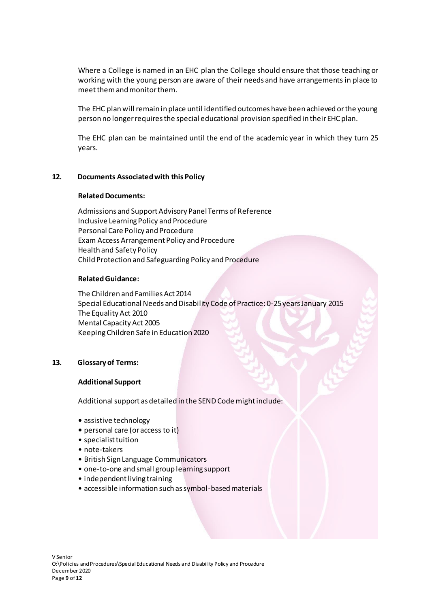Where a College is named in an EHC plan the College should ensure that those teaching or working with the young person are aware of their needs and have arrangements in place to meet them and monitor them.

The EHC plan will remain in place until identified outcomes have been achieved or the young person no longer requires the special educational provision specified in their EHC plan.

The EHC plan can be maintained until the end of the academic year in which they turn 25 years.

#### **12. Documents Associated with this Policy**

#### **Related Documents:**

Admissions and Support Advisory Panel Terms of Reference Inclusive Learning Policy and Procedure Personal Care Policy and Procedure Exam Access Arrangement Policy and Procedure Health and Safety Policy Child Protection and Safeguarding Policy and Procedure

#### **Related Guidance:**

The Children and Families Act 2014 Special Educational Needs and Disability Code of Practice: 0-25 years January 2015 The Equality Act 2010 Mental Capacity Act 2005 Keeping Children Safe in Education 2020

# **13. Glossaryof Terms:**

#### **Additional Support**

Additional support as detailed in the SEND Code might include:

- assistive technology
- personal care (or access to it)
- specialist tuition
- note-takers
- British Sign Language Communicators
- one-to-one and small group learning support
- independent living training
- accessible information such as symbol-based materials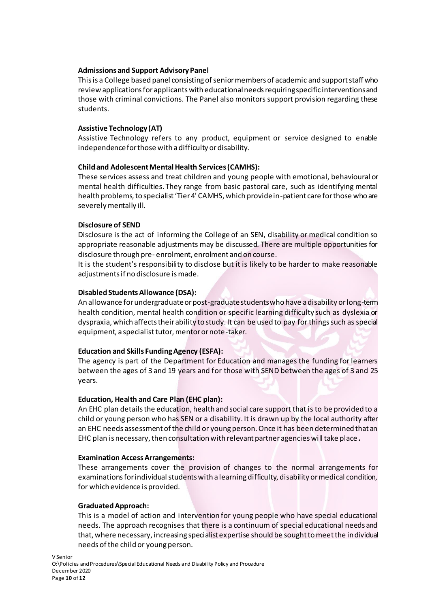# **Admissions and Support Advisory Panel**

This is a College based panel consisting of senior members of academic and support staff who review applications for applicants with educational needs requiring specific interventions and those with criminal convictions. The Panel also monitors support provision regarding these students.

# **Assistive Technology (AT)**

Assistive Technology refers to any product, equipment or service designed to enable independence for those with a difficulty or disability.

# **Child and Adolescent Mental Health Services (CAMHS):**

These services assess and treat children and young people with emotional, behavioural or mental health difficulties. They range from basic pastoral care, such as identifying mental health problems, to specialist 'Tier 4' CAMHS, which provide in-patient care for those who are severely mentally ill.

# **Disclosure of SEND**

Disclosure is the act of informing the College of an SEN, disability or medical condition so appropriate reasonable adjustments may be discussed. There are multiple opportunities for disclosure through pre- enrolment, enrolment and on course.

It is the student's responsibility to disclose but it is likely to be harder to make reasonable adjustments if no disclosure is made.

# **Disabled Students Allowance (DSA):**

An allowance for undergraduate or post-graduate students who have a disability or long-term health condition, mental health condition or specific learning difficulty such as dyslexia or dyspraxia, which affects their ability to study. It can be used to pay for things such as special equipment, a specialist tutor, mentor or note-taker.

# **Education and Skills Funding Agency (ESFA):**

The agency is part of the Department for Education and manages the funding for learners between the ages of 3 and 19 years and for those with SEND between the ages of 3 and 25 years.

# **Education, Health and Care Plan (EHC plan):**

An EHC plan details the education, health and social care support that is to be provided to a child or young person who has SEN or a disability. It is drawn up by the local authority after an EHC needs assessment of the child or young person. Once it has been determined that an EHC plan is necessary, then consultation with relevant partner agencies will take place**.**

# **Examination Access Arrangements:**

These arrangements cover the provision of changes to the normal arrangements for examinations for individual students with a learning difficulty, disability or medical condition, for which evidence is provided.

# **Graduated Approach:**

This is a model of action and intervention for young people who have special educational needs. The approach recognises that there is a continuum of special educational needs and that, where necessary, increasing specialist expertise should be sought to meet the individual needs of the child or young person.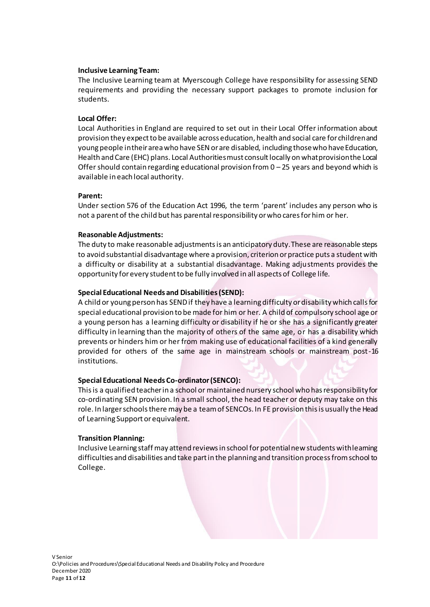# **Inclusive Learning Team:**

The Inclusive Learning team at Myerscough College have responsibility for assessing SEND requirements and providing the necessary support packages to promote inclusion for students.

# **Local Offer:**

Local Authorities in England are required to set out in their Local Offer information about provision they expect to be available across education, health and social care for children and young people in their area who have SEN or are disabled, including those who have Education, Health and Care (EHC) plans. Local Authorities must consult locally on what provision the Local Offer should contain regarding educational provision from  $0 - 25$  years and beyond which is available in each local authority.

# **Parent:**

Under section 576 of the Education Act 1996, the term 'parent' includes any person who is not a parent of the child but has parental responsibility or who cares for him or her.

# **Reasonable Adjustments:**

The duty to make reasonable adjustments is an anticipatory duty. These are reasonable steps to avoid substantial disadvantage where a provision, criterion or practice puts a student with a difficulty or disability at a substantial disadvantage. Making adjustments provides the opportunity for every student to be fully involved in all aspects of College life.

# **Special Educational Needs and Disabilities (SEND):**

A child or young person has SEND if they have a learning difficulty or disability which calls for special educational provision to be made for him or her. A child of compulsory school age or a young person has a learning difficulty or disability if he or she has a significantly greater difficulty in learning than the majority of others of the same age, or has a disability which prevents or hinders him or her from making use of educational facilities of a kind generally provided for others of the same age in mainstream schools or mainstream post-16 institutions.

# **Special Educational Needs Co-ordinator (SENCO):**

This is a qualified teacher in a school or maintained nursery school who has responsibility for co-ordinating SEN provision. In a small school, the head teacher or deputy may take on this role. In larger schools there may be a team of SENCOs. In FE provision this is usually the Head of Learning Support or equivalent.

# **Transition Planning:**

Inclusive Learning staff may attend reviews in school for potential new students with learning difficulties and disabilities and take part in the planning and transition process from school to College.